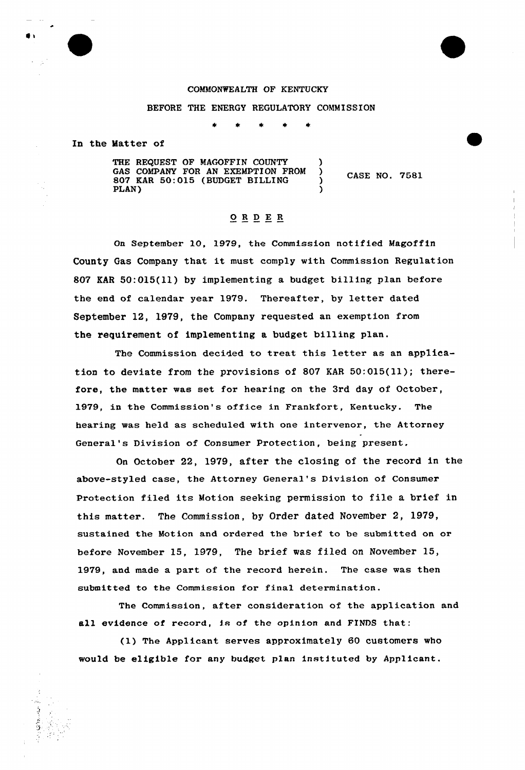## COMMONWEALTH OF KENTUCKY

## BEFORE THE ENERGY REGULATORY COMMISSION

In the Matter of

THE REQUEST OF MAGOFFIN COUNTY GAS COMPANY FOR AN EXEMPTION FROM 807 KAR 50:015 (BUDGET BILLING PLAN) )

CASE NO. 7581

## ORD ER

On September 10, 1979, the Commission notified Magoffin County Gas Company that it must comply with Commission Regulation 807 KAR 50:015(11) by implementing a budget billing plan before the end of calendar year 1979. Thereafter, by letter dated September 12, 1979, the Company requested an exemption from the requirement of implementing a budget billing plan.

The Commission decided to treat this letter as an application to deviate from the provisions of 807 KAR  $50:015(11)$ ; therefore, the matter was set for hearing on the 3rd day of October, 1979, in the Commission's office in Frankfort, Kentucky. The hearing was held as scheduled with one intervenor, the Attorney General's Division of Consumer Protection, being present.

On Octobex 22, 1979, after the closing of the record in the above-styled case, the Attorney General's Division of Consumer Protection filed its Motion seeking permission to file a brief in this matter. The Commission, by Order dated November 2, 1979, sustained the Motion and ordered the brief to be submitted on or before November 15, 1979, The brief was filed on November 15, 1979, and made a part of the record herein. The case was then submitted to the Commission for final determination.

The Commission, after consideration of the application and all evidence of record, is of the opinion and FINDS that:

(1) The Applicant serves approximately 60 customers who would be eligible for any budget plan instituted by Applicant.